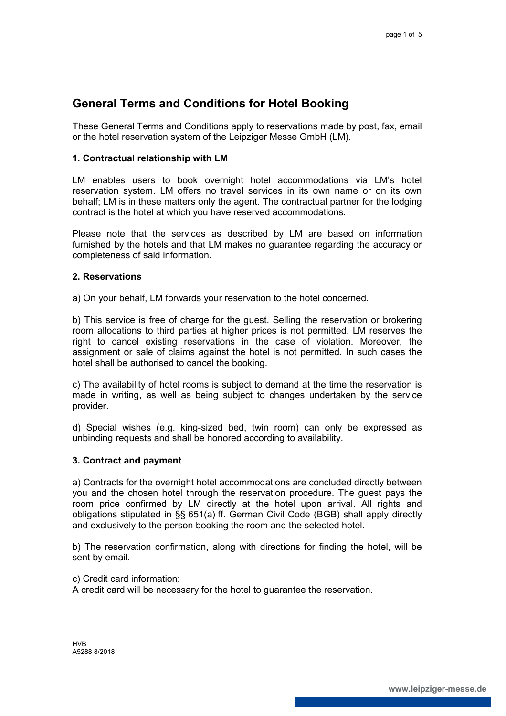# **General Terms and Conditions for Hotel Booking**

These General Terms and Conditions apply to reservations made by post, fax, email or the hotel reservation system of the Leipziger Messe GmbH (LM).

## **1. Contractual relationship with LM**

LM enables users to book overnight hotel accommodations via LM's hotel reservation system. LM offers no travel services in its own name or on its own behalf; LM is in these matters only the agent. The contractual partner for the lodging contract is the hotel at which you have reserved accommodations.

Please note that the services as described by LM are based on information furnished by the hotels and that LM makes no guarantee regarding the accuracy or completeness of said information.

#### **2. Reservations**

a) On your behalf, LM forwards your reservation to the hotel concerned.

b) This service is free of charge for the guest. Selling the reservation or brokering room allocations to third parties at higher prices is not permitted. LM reserves the right to cancel existing reservations in the case of violation. Moreover, the assignment or sale of claims against the hotel is not permitted. In such cases the hotel shall be authorised to cancel the booking.

c) The availability of hotel rooms is subject to demand at the time the reservation is made in writing, as well as being subject to changes undertaken by the service provider.

d) Special wishes (e.g. king-sized bed, twin room) can only be expressed as unbinding requests and shall be honored according to availability.

## **3. Contract and payment**

a) Contracts for the overnight hotel accommodations are concluded directly between you and the chosen hotel through the reservation procedure. The guest pays the room price confirmed by LM directly at the hotel upon arrival. All rights and obligations stipulated in §§ 651(a) ff. German Civil Code (BGB) shall apply directly and exclusively to the person booking the room and the selected hotel.

b) The reservation confirmation, along with directions for finding the hotel, will be sent by email.

c) Credit card information:

A credit card will be necessary for the hotel to guarantee the reservation.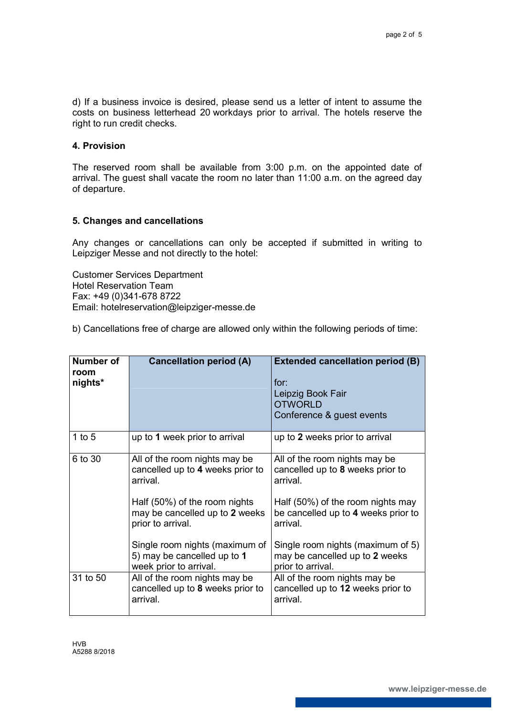d) If a business invoice is desired, please send us a letter of intent to assume the costs on business letterhead 20 workdays prior to arrival. The hotels reserve the right to run credit checks.

## **4. Provision**

The reserved room shall be available from 3:00 p.m. on the appointed date of arrival. The guest shall vacate the room no later than 11:00 a.m. on the agreed day of departure.

## **5. Changes and cancellations**

Any changes or cancellations can only be accepted if submitted in writing to Leipziger Messe and not directly to the hotel:

Customer Services Department Hotel Reservation Team Fax: +49 (0)341-678 8722 Email: hotelreservation@leipziger-messe.de

b) Cancellations free of charge are allowed only within the following periods of time:

| Number of<br>room<br>nights* | <b>Cancellation period (A)</b>                                                          | <b>Extended cancellation period (B)</b><br>for:<br>Leipzig Book Fair<br><b>OTWORLD</b><br>Conference & guest events |
|------------------------------|-----------------------------------------------------------------------------------------|---------------------------------------------------------------------------------------------------------------------|
| 1 to $5$                     | up to 1 week prior to arrival                                                           | up to 2 weeks prior to arrival                                                                                      |
| 6 to 30                      | All of the room nights may be<br>cancelled up to 4 weeks prior to<br>arrival            | All of the room nights may be<br>cancelled up to 8 weeks prior to<br>arrival.                                       |
|                              | Half (50%) of the room nights<br>may be cancelled up to 2 weeks<br>prior to arrival.    | Half (50%) of the room nights may<br>be cancelled up to 4 weeks prior to<br>arrival.                                |
|                              | Single room nights (maximum of<br>5) may be cancelled up to 1<br>week prior to arrival. | Single room nights (maximum of 5)<br>may be cancelled up to 2 weeks<br>prior to arrival.                            |
| 31 to 50                     | All of the room nights may be<br>cancelled up to 8 weeks prior to<br>arrival.           | All of the room nights may be<br>cancelled up to 12 weeks prior to<br>arrival.                                      |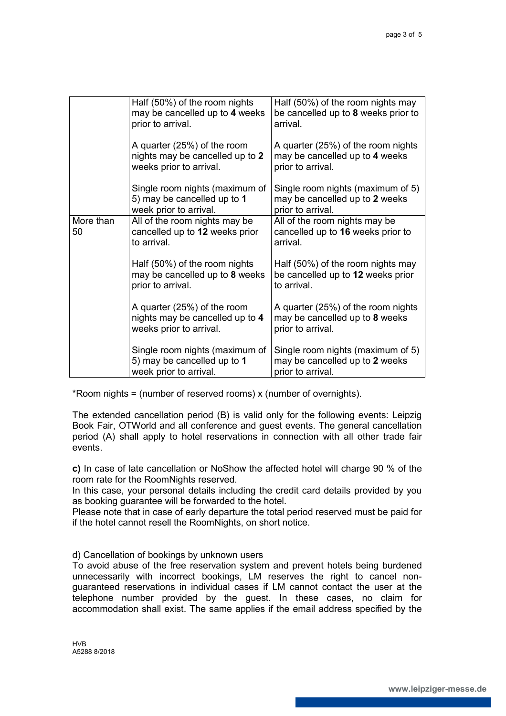|                 | Half (50%) of the room nights<br>may be cancelled up to 4 weeks<br>prior to arrival.      | Half (50%) of the room nights may<br>be cancelled up to 8 weeks prior to<br>arrival.      |
|-----------------|-------------------------------------------------------------------------------------------|-------------------------------------------------------------------------------------------|
|                 | A quarter (25%) of the room<br>nights may be cancelled up to 2<br>weeks prior to arrival. | A quarter (25%) of the room nights<br>may be cancelled up to 4 weeks<br>prior to arrival. |
|                 | Single room nights (maximum of<br>5) may be cancelled up to 1<br>week prior to arrival.   | Single room nights (maximum of 5)<br>may be cancelled up to 2 weeks<br>prior to arrival.  |
| More than<br>50 | All of the room nights may be<br>cancelled up to 12 weeks prior<br>to arrival.            | All of the room nights may be<br>cancelled up to 16 weeks prior to<br>arrival.            |
|                 | Half (50%) of the room nights<br>may be cancelled up to 8 weeks<br>prior to arrival.      | Half (50%) of the room nights may<br>be cancelled up to 12 weeks prior<br>to arrival.     |
|                 | A quarter (25%) of the room<br>nights may be cancelled up to 4<br>weeks prior to arrival. | A quarter (25%) of the room nights<br>may be cancelled up to 8 weeks<br>prior to arrival. |
|                 | Single room nights (maximum of<br>5) may be cancelled up to 1<br>week prior to arrival.   | Single room nights (maximum of 5)<br>may be cancelled up to 2 weeks<br>prior to arrival.  |

\*Room nights = (number of reserved rooms) x (number of overnights).

The extended cancellation period (B) is valid only for the following events: Leipzig Book Fair, OTWorld and all conference and guest events. The general cancellation period (A) shall apply to hotel reservations in connection with all other trade fair events.

**c)** In case of late cancellation or NoShow the affected hotel will charge 90 % of the room rate for the RoomNights reserved.

In this case, your personal details including the credit card details provided by you as booking guarantee will be forwarded to the hotel.

Please note that in case of early departure the total period reserved must be paid for if the hotel cannot resell the RoomNights, on short notice.

d) Cancellation of bookings by unknown users

To avoid abuse of the free reservation system and prevent hotels being burdened unnecessarily with incorrect bookings, LM reserves the right to cancel nonguaranteed reservations in individual cases if LM cannot contact the user at the telephone number provided by the guest. In these cases, no claim for accommodation shall exist. The same applies if the email address specified by the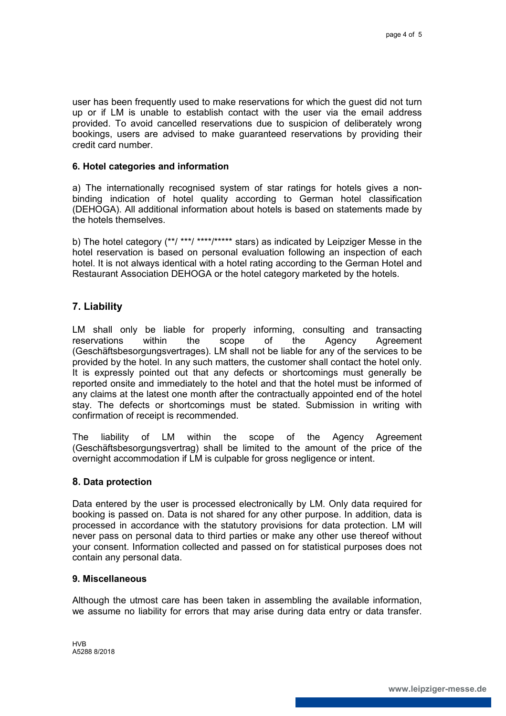user has been frequently used to make reservations for which the guest did not turn up or if LM is unable to establish contact with the user via the email address provided. To avoid cancelled reservations due to suspicion of deliberately wrong bookings, users are advised to make guaranteed reservations by providing their credit card number.

#### **6. Hotel categories and information**

a) The internationally recognised system of star ratings for hotels gives a nonbinding indication of hotel quality according to German hotel classification (DEHOGA). All additional information about hotels is based on statements made by the hotels themselves.

b) The hotel category (\*\*/ \*\*\*/ \*\*\*\*/\*\*\*\*\* stars) as indicated by Leipziger Messe in the hotel reservation is based on personal evaluation following an inspection of each hotel. It is not always identical with a hotel rating according to the German Hotel and Restaurant Association DEHOGA or the hotel category marketed by the hotels.

# **7. Liability**

LM shall only be liable for properly informing, consulting and transacting reservations within the scope of the Agency Agreement (Geschäftsbesorgungsvertrages). LM shall not be liable for any of the services to be provided by the hotel. In any such matters, the customer shall contact the hotel only. It is expressly pointed out that any defects or shortcomings must generally be reported onsite and immediately to the hotel and that the hotel must be informed of any claims at the latest one month after the contractually appointed end of the hotel stay. The defects or shortcomings must be stated. Submission in writing with confirmation of receipt is recommended.

The liability of LM within the scope of the Agency Agreement (Geschäftsbesorgungsvertrag) shall be limited to the amount of the price of the overnight accommodation if LM is culpable for gross negligence or intent.

## **8. Data protection**

Data entered by the user is processed electronically by LM. Only data required for booking is passed on. Data is not shared for any other purpose. In addition, data is processed in accordance with the statutory provisions for data protection. LM will never pass on personal data to third parties or make any other use thereof without your consent. Information collected and passed on for statistical purposes does not contain any personal data.

#### **9. Miscellaneous**

Although the utmost care has been taken in assembling the available information, we assume no liability for errors that may arise during data entry or data transfer.

HVB A5288 8/2018